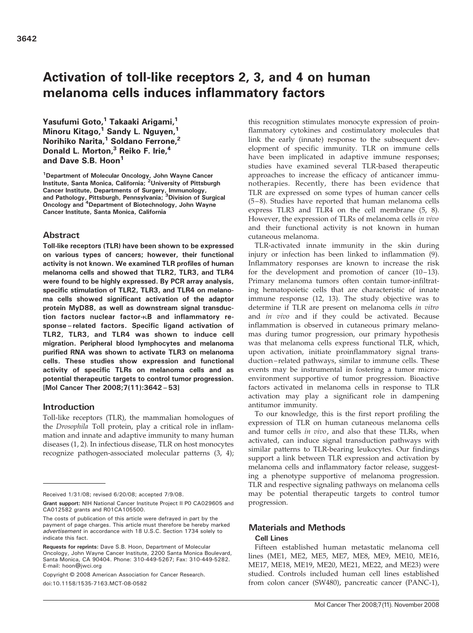# Activation of toll-like receptors 2, 3, and 4 on human melanoma cells induces inflammatory factors

Yasufumi Goto,<sup>1</sup> Takaaki Arigami,<sup>1</sup> Minoru Kitago,<sup>1</sup> Sandy L. Nguyen,<sup>1</sup> Norihiko Narita,<sup>1</sup> Soldano Ferrone,<sup>2</sup> Donald L. Morton,<sup>3</sup> Reiko F. Irie,<sup>4</sup> and Dave S.B. Hoon<sup>1</sup>

<sup>1</sup>Department of Molecular Oncology, John Wayne Cancer<br>Institute, Santa Monica, California; <sup>2</sup>University of Pittsburgh Cancer Institute, Departments of Surgery, Immunology,<br>and Pathology, Pittsburgh, Pennsylvania; <sup>3</sup>Division of Surgical<br>Oncology and <sup>4</sup>Department of Biotechnology, John Wayne Cancer Institute, Santa Monica, California

### Abstract

Toll-like receptors (TLR) have been shown to be expressed on various types of cancers; however, their functional activity is not known. We examined TLR profiles of human melanoma cells and showed that TLR2, TLR3, and TLR4 were found to be highly expressed. By PCR array analysis, specific stimulation of TLR2, TLR3, and TLR4 on melanoma cells showed significant activation of the adaptor protein MyD88, as well as downstream signal transduction factors nuclear factor- $\kappa$ B and inflammatory response– related factors. Specific ligand activation of TLR2, TLR3, and TLR4 was shown to induce cell migration. Peripheral blood lymphocytes and melanoma purified RNA was shown to activate TLR3 on melanoma cells. These studies show expression and functional activity of specific TLRs on melanoma cells and as potential therapeutic targets to control tumor progression. [Mol Cancer Ther 2008;7(11):3642–53]

### Introduction

Toll-like receptors (TLR), the mammalian homologues of the Drosophila Toll protein, play a critical role in inflammation and innate and adaptive immunity to many human diseases (1, 2). In infectious disease, TLR on host monocytes recognize pathogen-associated molecular patterns (3, 4); this recognition stimulates monocyte expression of proinflammatory cytokines and costimulatory molecules that link the early (innate) response to the subsequent development of specific immunity. TLR on immune cells have been implicated in adaptive immune responses; studies have examined several TLR-based therapeutic approaches to increase the efficacy of anticancer immunotherapies. Recently, there has been evidence that TLR are expressed on some types of human cancer cells (5 – 8). Studies have reported that human melanoma cells express TLR3 and TLR4 on the cell membrane (5, 8). However, the expression of TLRs of melanoma cells in vivo and their functional activity is not known in human cutaneous melanoma.

TLR-activated innate immunity in the skin during injury or infection has been linked to inflammation (9). Inflammatory responses are known to increase the risk for the development and promotion of cancer  $(10-13)$ . Primary melanoma tumors often contain tumor-infiltrating hematopoietic cells that are characteristic of innate immune response (12, 13). The study objective was to determine if TLR are present on melanoma cells in vitro and in vivo and if they could be activated. Because inflammation is observed in cutaneous primary melanomas during tumor progression, our primary hypothesis was that melanoma cells express functional TLR, which, upon activation, initiate proinflammatory signal transduction – related pathways, similar to immune cells. These events may be instrumental in fostering a tumor microenvironment supportive of tumor progression. Bioactive factors activated in melanoma cells in response to TLR activation may play a significant role in dampening antitumor immunity.

To our knowledge, this is the first report profiling the expression of TLR on human cutaneous melanoma cells and tumor cells in vivo, and also that these TLRs, when activated, can induce signal transduction pathways with similar patterns to TLR-bearing leukocytes. Our findings support a link between TLR expression and activation by melanoma cells and inflammatory factor release, suggesting a phenotype supportive of melanoma progression. TLR and respective signaling pathways on melanoma cells may be potential therapeutic targets to control tumor progression.

### Materials and Methods

#### Cell Lines

Fifteen established human metastatic melanoma cell lines (ME1, ME2, ME5, ME7, ME8, ME9, ME10, ME16, ME17, ME18, ME19, ME20, ME21, ME22, and ME23) were studied. Controls included human cell lines established from colon cancer (SW480), pancreatic cancer (PANC-1),

Received 1/31/08; revised 6/20/08; accepted 7/9/08.

Grant support: NIH National Cancer Institute Project II P0 CA029605 and CA012582 grants and R01CA105500.

The costs of publication of this article were defrayed in part by the payment of page charges. This article must therefore be hereby marked advertisement in accordance with 18 U.S.C. Section 1734 solely to indicate this fact.

Requests for reprints: Dave S.B. Hoon, Department of Molecular Oncology, John Wayne Cancer Institute, 2200 Santa Monica Boulevard, Santa Monica, CA 90404. Phone: 310-449-5267; Fax: 310-449-5282. E-mail: hoon@jwci.org

Copyright © 2008 American Association for Cancer Research. doi:10.1158/1535-7163.MCT-08-0582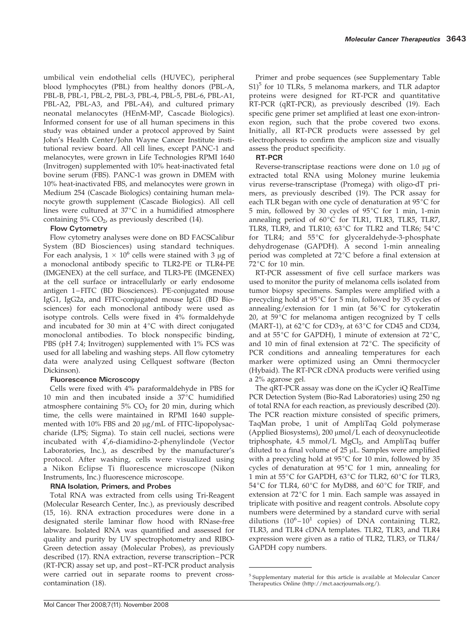umbilical vein endothelial cells (HUVEC), peripheral blood lymphocytes (PBL) from healthy donors (PBL-A, PBL-B, PBL-1, PBL-2, PBL-3, PBL-4, PBL-5, PBL-6, PBL-A1, PBL-A2, PBL-A3, and PBL-A4), and cultured primary neonatal melanocytes (HEnM-MP, Cascade Biologics). Informed consent for use of all human specimens in this study was obtained under a protocol approved by Saint John's Health Center/John Wayne Cancer Institute institutional review board. All cell lines, except PANC-1 and melanocytes, were grown in Life Technologies RPMI 1640 (Invitrogen) supplemented with 10% heat-inactivated fetal bovine serum (FBS). PANC-1 was grown in DMEM with 10% heat-inactivated FBS, and melanocytes were grown in Medium 254 (Cascade Biologics) containing human melanocyte growth supplement (Cascade Biologics). All cell lines were cultured at  $37^{\circ}$ C in a humidified atmosphere containing  $5\%$  CO<sub>2</sub>, as previously described (14).

# Flow Cytometry

Flow cytometry analyses were done on BD FACSCalibur System (BD Biosciences) using standard techniques. For each analysis,  $1 \times 10^6$  cells were stained with 3  $\mu$ g of a monoclonal antibody specific to TLR2-PE or TLR4-PE (IMGENEX) at the cell surface, and TLR3-PE (IMGENEX) at the cell surface or intracellularly or early endosome antigen 1 – FITC (BD Biosciences). PE-conjugated mouse IgG1, IgG2a, and FITC-conjugated mouse IgG1 (BD Biosciences) for each monoclonal antibody were used as isotype controls. Cells were fixed in 4% formaldehyde and incubated for 30 min at  $4^{\circ}C$  with direct conjugated monoclonal antibodies. To block nonspecific binding, PBS (pH 7.4; Invitrogen) supplemented with 1% FCS was used for all labeling and washing steps. All flow cytometry data were analyzed using Cellquest software (Becton Dickinson).

# Fluorescence Microscopy

Cells were fixed with 4% paraformaldehyde in PBS for 10 min and then incubated inside a  $37^{\circ}$ C humidified atmosphere containing  $5\%$  CO<sub>2</sub> for 20 min, during which time, the cells were maintained in RPMI 1640 supplemented with 10% FBS and 20  $\mu$ g/mL of FITC-lipopolysaccharide (LPS; Sigma). To stain cell nuclei, sections were incubated with 4',6-diamidino-2-phenylindole (Vector Laboratories, Inc.), as described by the manufacturer's protocol. After washing, cells were visualized using a Nikon Eclipse Ti fluorescence microscope (Nikon Instruments, Inc.) fluorescence microscope.

# RNA Isolation, Primers, and Probes

Total RNA was extracted from cells using Tri-Reagent (Molecular Research Center, Inc.), as previously described (15, 16). RNA extraction procedures were done in a designated sterile laminar flow hood with RNase-free labware. Isolated RNA was quantified and assessed for quality and purity by UV spectrophotometry and RIBO-Green detection assay (Molecular Probes), as previously described (17). RNA extraction, reverse transcription –PCR (RT-PCR) assay set up, and post –RT-PCR product analysis were carried out in separate rooms to prevent crosscontamination (18).

Primer and probe sequences (see Supplementary Table  $S1$ <sup>5</sup> for 10 TLRs, 5 melanoma markers, and TLR adaptor proteins were designed for RT-PCR and quantitative RT-PCR (qRT-PCR), as previously described (19). Each specific gene primer set amplified at least one exon-intronexon region, such that the probe covered two exons. Initially, all RT-PCR products were assessed by gel electrophoresis to confirm the amplicon size and visually assess the product specificity.

# RT-PCR

Reverse-transcriptase reactions were done on  $1.0 \mu$ g of extracted total RNA using Moloney murine leukemia virus reverse-transcriptase (Promega) with oligo-dT primers, as previously described (19). The PCR assay for each TLR began with one cycle of denaturation at  $95^{\circ}C$  for 5 min, followed by 30 cycles of  $95^{\circ}$ C for 1 min, 1-min annealing period of  $60^{\circ}$ C for TLR1, TLR3, TLR5, TLR7, TLR8, TLR9, and TLR10; 63 $^{\circ}$ C for TLR2 and TLR6; 54 $^{\circ}$ C for TLR4; and  $55^{\circ}$ C for glyceraldehyde-3-phosphate dehydrogenase (GAPDH). A second 1-min annealing period was completed at 72°C before a final extension at  $72^{\circ}$ C for 10 min.

RT-PCR assessment of five cell surface markers was used to monitor the purity of melanoma cells isolated from tumor biopsy specimens. Samples were amplified with a precycling hold at  $95^{\circ}$ C for 5 min, followed by 35 cycles of annealing/extension for 1 min (at  $56^{\circ}C$  for cytokeratin 20, at  $59^{\circ}$ C for melanoma antigen recognized by T cells (MART-1), at 62 $\degree$ C for CD3 $\gamma$ , at 63 $\degree$ C for CD45 and CD34, and at  $55^{\circ}$ C for GAPDH), 1 minute of extension at  $72^{\circ}$ C, and 10 min of final extension at  $72^{\circ}$ C. The specificity of PCR conditions and annealing temperatures for each marker were optimized using an Omni thermocycler (Hybaid). The RT-PCR cDNA products were verified using a 2% agarose gel.

The qRT-PCR assay was done on the iCycler iQ RealTime PCR Detection System (Bio-Rad Laboratories) using 250 ng of total RNA for each reaction, as previously described (20). The PCR reaction mixture consisted of specific primers, TaqMan probe, 1 unit of AmpliTaq Gold polymerase (Applied Biosystems),  $200 \mu \text{mol/L}$  each of deoxynucleotide triphosphate,  $4.5 \text{ mmol/L MgCl}_2$ , and AmpliTaq buffer diluted to a final volume of  $25 \mu L$ . Samples were amplified with a precycling hold at  $95^{\circ}$ C for 10 min, followed by 35 cycles of denaturation at  $95^{\circ}$ C for 1 min, annealing for 1 min at 55°C for GAPDH, 63°C for TLR2, 60°C for TLR3, 54 $\degree$ C for TLR4, 60 $\degree$ C for MyD88, and 60 $\degree$ C for TRIF, and extension at  $72^{\circ}$ C for 1 min. Each sample was assayed in triplicate with positive and reagent controls. Absolute copy numbers were determined by a standard curve with serial dilutions  $(10^6 - 10^1$  copies) of DNA containing TLR2, TLR3, and TLR4 cDNA templates. TLR2, TLR3, and TLR4 expression were given as a ratio of TLR2, TLR3, or TLR4/ GAPDH copy numbers.

<sup>5</sup> Supplementary material for this article is available at Molecular Cancer Therapeutics Online (http://mct.aacrjournals.org/).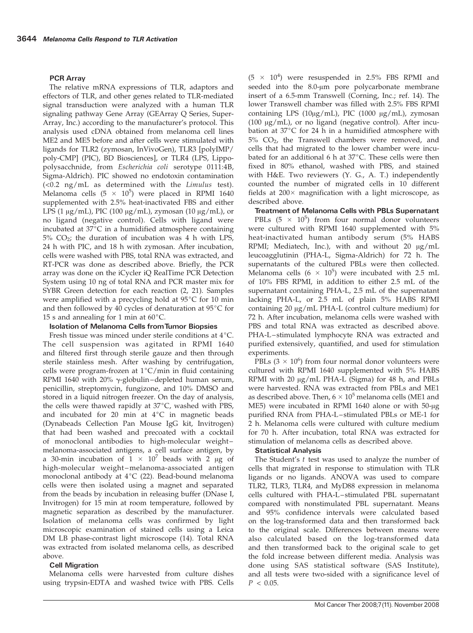#### PCR Array

The relative mRNA expressions of TLR, adaptors and effectors of TLR, and other genes related to TLR-mediated signal transduction were analyzed with a human TLR signaling pathway Gene Array (GEArray Q Series, Super-Array, Inc.) according to the manufacturer's protocol. This analysis used cDNA obtained from melanoma cell lines ME2 and ME5 before and after cells were stimulated with ligands for TLR2 (zymosan, InVivoGen), TLR3 [polyIMP/ poly-CMP] (PIC), BD Biosciences], or TLR4 (LPS, Lippopolysacchnide, from Escherichia coli serotype 0111:4B, Sigma-Aldrich). PIC showed no endotoxin contamination (<0.2 ng/mL as determined with the Limulus test). Melanoma cells  $(5 \times 10^5)$  were placed in RPMI 1640 supplemented with 2.5% heat-inactivated FBS and either LPS (1  $\mu$ g/mL), PIC (100  $\mu$ g/mL), zymosan (10  $\mu$ g/mL), or no ligand (negative control). Cells with ligand were incubated at  $37^{\circ}$ C in a humidified atmosphere containing  $5\%$  CO<sub>2</sub>; the duration of incubation was 4 h with LPS, 24 h with PIC, and 18 h with zymosan. After incubation, cells were washed with PBS, total RNA was extracted, and RT-PCR was done as described above. Briefly, the PCR array was done on the iCycler iQ RealTime PCR Detection System using 10 ng of total RNA and PCR master mix for SYBR Green detection for each reaction (2, 21). Samples were amplified with a precycling hold at  $95^{\circ}C$  for 10 min and then followed by 40 cycles of denaturation at  $95^{\circ}$ C for 15 s and annealing for 1 min at  $60^{\circ}$ C.

#### Isolation of Melanoma Cells fromTumor Biopsies

Fresh tissue was minced under sterile conditions at  $4^{\circ}$ C. The cell suspension was agitated in RPMI 1640 and filtered first through sterile gauze and then through sterile stainless mesh. After washing by centrifugation, cells were program-frozen at  $1^{\circ}C/m$ in in fluid containing RPMI 1640 with 20%  $\gamma$ -globulin-depleted human serum, penicillin, streptomycin, fungizone, and 10% DMSO and stored in a liquid nitrogen freezer. On the day of analysis, the cells were thawed rapidly at  $37^{\circ}$ C, washed with PBS, and incubated for 20 min at  $4^{\circ}C$  in magnetic beads (Dynabeads Cellection Pan Mouse IgG kit, Invitrogen) that had been washed and precoated with a cocktail of monoclonal antibodies to high-molecular weight – melanoma-associated antigens, a cell surface antigen, by a 30-min incubation of  $1 \times 10^7$  beads with 2  $\mu$ g of high-molecular weight –melanoma-associated antigen monoclonal antibody at  $4^{\circ}C$  (22). Bead-bound melanoma cells were then isolated using a magnet and separated from the beads by incubation in releasing buffer (DNase I, Invitrogen) for 15 min at room temperature, followed by magnetic separation as described by the manufacturer. Isolation of melanoma cells was confirmed by light microscopic examination of stained cells using a Leica DM LB phase-contrast light microscope (14). Total RNA was extracted from isolated melanoma cells, as described above.

#### **Cell Migration**

Melanoma cells were harvested from culture dishes using trypsin-EDTA and washed twice with PBS. Cells

 $(5 \times 10^4)$  were resuspended in 2.5% FBS RPMI and seeded into the 8.0-µm pore polycarbonate membrane insert of a 6.5-mm Transwell (Corning, Inc.; ref. 14). The lower Transwell chamber was filled with 2.5% FBS RPMI containing LPS ( $10\mu$ g/mL), PIC ( $1000 \mu$ g/mL), zymosan (100  $\mu$ g/mL), or no ligand (negative control). After incubation at  $37^{\circ}$ C for 24 h in a humidified atmosphere with 5% CO2, the Transwell chambers were removed, and cells that had migrated to the lower chamber were incubated for an additional 6 h at  $37^{\circ}$ C. These cells were then fixed in 80% ethanol, washed with PBS, and stained with H&E. Two reviewers (Y. G., A. T.) independently counted the number of migrated cells in 10 different fields at  $200 \times$  magnification with a light microscope, as described above.

Treatment of Melanoma Cells with PBLs Supernatant PBLs  $(5 \times 10^5)$  from four normal donor volunteers were cultured with RPMI 1640 supplemented with 5% heat-inactivated human antibody serum (5% HABS RPMI; Mediatech, Inc.), with and without 20  $\mu$ g/mL leucoagglutinin (PHA-L, Sigma-Aldrich) for 72 h. The supernatants of the cultured PBLs were then collected. Melanoma cells (6  $\times$  10<sup>5</sup>) were incubated with 2.5 mL of 10% FBS RPMI, in addition to either 2.5 mL of the supernatant containing PHA-L, 2.5 mL of the supernatant lacking PHA-L, or 2.5 mL of plain 5% HABS RPMI containing  $20 \mu g/mL$  PHA-L (control culture medium) for 72 h. After incubation, melanoma cells were washed with PBS and total RNA was extracted as described above. PHA-L-stimulated lymphocyte RNA was extracted and purified extensively, quantified, and used for stimulation experiments.

PBLs  $(3 \times 10^6)$  from four normal donor volunteers were cultured with RPMI 1640 supplemented with 5% HABS RPMI with 20  $\mu$ g/mL PHA-L (Sigma) for 48 h, and PBLs were harvested. RNA was extracted from PBLs and ME1 as described above. Then,  $6 \times 10^5$  melanoma cells (ME1 and  $ME5$ ) were incubated in RPMI 1640 alone or with  $50$ - $\mu$ g purified RNA from PHA-L – stimulated PBLs or ME-1 for 2 h. Melanoma cells were cultured with culture medium for 70 h. After incubation, total RNA was extracted for stimulation of melanoma cells as described above.

#### Statistical Analysis

The Student's  $t$  test was used to analyze the number of cells that migrated in response to stimulation with TLR ligands or no ligands. ANOVA was used to compare TLR2, TLR3, TLR4, and MyD88 expression in melanoma cells cultured with PHA-L – stimulated PBL supernatant compared with nonstimulated PBL supernatant. Means and 95% confidence intervals were calculated based on the log-transformed data and then transformed back to the original scale. Differences between means were also calculated based on the log-transformed data and then transformed back to the original scale to get the fold increase between different media. Analysis was done using SAS statistical software (SAS Institute), and all tests were two-sided with a significance level of  $P < 0.05$ .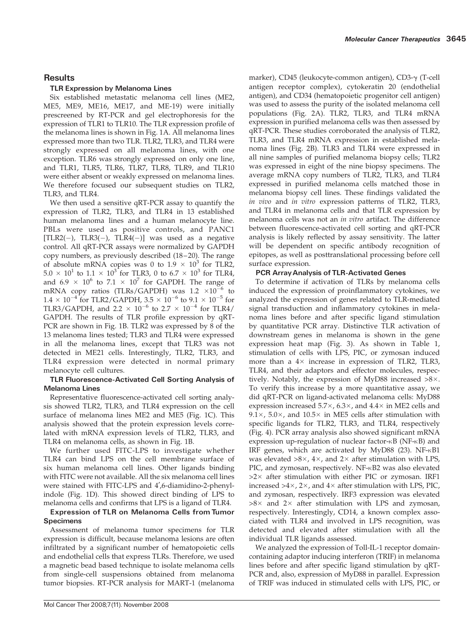### **Results**

### TLR Expression by Melanoma Lines

Six established metastatic melanoma cell lines (ME2, ME5, ME9, ME16, ME17, and ME-19) were initially prescreened by RT-PCR and gel electrophoresis for the expression of TLR1 to TLR10. The TLR expression profile of the melanoma lines is shown in Fig. 1A. All melanoma lines expressed more than two TLR. TLR2, TLR3, and TLR4 were strongly expressed on all melanoma lines, with one exception. TLR6 was strongly expressed on only one line, and TLR1, TLR5, TLR6, TLR7, TLR8, TLR9, and TLR10 were either absent or weakly expressed on melanoma lines. We therefore focused our subsequent studies on TLR2, TLR3, and TLR4.

We then used a sensitive qRT-PCR assay to quantify the expression of TLR2, TLR3, and TLR4 in 13 established human melanoma lines and a human melanocyte line. PBLs were used as positive controls, and PANC1  $[TLR2(-), TLR3(-), TLR4(-)]$  was used as a negative control. All qRT-PCR assays were normalized by GAPDH copy numbers, as previously described (18-20). The range of absolute mRNA copies was 0 to  $1.9 \times 10^3$  for TLR2,  $5.0 \times 10^{1}$  to  $1.1 \times 10^{3}$  for TLR3, 0 to  $6.7 \times 10^{3}$  for TLR4, and 6.9  $\times$  10<sup>6</sup> to 7.1  $\times$  10<sup>7</sup> for GAPDH. The range of mRNA copy ratios (TLRs/GAPDH) was 1.2  $\times 10^{-6}$  to  $1.4 \times 10^{-4}$  for TLR2/GAPDH,  $3.5 \times 10^{-6}$  to  $9.1 \times 10^{-5}$  for TLR3/GAPDH, and  $2.2 \times 10^{-6}$  to  $2.7 \times 10^{-4}$  for TLR4/ GAPDH. The results of TLR profile expression by qRT-PCR are shown in Fig. 1B. TLR2 was expressed by 8 of the 13 melanoma lines tested; TLR3 and TLR4 were expressed in all the melanoma lines, except that TLR3 was not detected in ME21 cells. Interestingly, TLR2, TLR3, and TLR4 expression were detected in normal primary melanocyte cell cultures.

### TLR Fluorescence-Activated Cell Sorting Analysis of Melanoma Lines

Representative fluorescence-activated cell sorting analysis showed TLR2, TLR3, and TLR4 expression on the cell surface of melanoma lines ME2 and ME5 (Fig. 1C). This analysis showed that the protein expression levels correlated with mRNA expression levels of TLR2, TLR3, and TLR4 on melanoma cells, as shown in Fig. 1B.

We further used FITC-LPS to investigate whether TLR4 can bind LPS on the cell membrane surface of six human melanoma cell lines. Other ligands binding with FITC were not available. All the six melanoma cell lines were stained with FITC-LPS and 4',6-diamidino-2-phenylindole (Fig. 1D). This showed direct binding of LPS to melanoma cells and confirms that LPS is a ligand of TLR4.

### Expression of TLR on Melanoma Cells from Tumor Specimens

Assessment of melanoma tumor specimens for TLR expression is difficult, because melanoma lesions are often infiltrated by a significant number of hematopoietic cells and endothelial cells that express TLRs. Therefore, we used a magnetic bead based technique to isolate melanoma cells from single-cell suspensions obtained from melanoma tumor biopsies. RT-PCR analysis for MART-1 (melanoma marker), CD45 (leukocyte-common antigen), CD3-γ (T-cell antigen receptor complex), cytokeratin 20 (endothelial antigen), and CD34 (hematopoietic progenitor cell antigen) was used to assess the purity of the isolated melanoma cell populations (Fig. 2A). TLR2, TLR3, and TLR4 mRNA expression in purified melanoma cells was then assessed by qRT-PCR. These studies corroborated the analysis of TLR2, TLR3, and TLR4 mRNA expression in established melanoma lines (Fig. 2B). TLR3 and TLR4 were expressed in all nine samples of purified melanoma biopsy cells; TLR2 was expressed in eight of the nine biopsy specimens. The average mRNA copy numbers of TLR2, TLR3, and TLR4 expressed in purified melanoma cells matched those in melanoma biopsy cell lines. These findings validated the in vivo and in vitro expression patterns of TLR2, TLR3, and TLR4 in melanoma cells and that TLR expression by melanoma cells was not an in vitro artifact. The difference between fluorescence-activated cell sorting and qRT-PCR analysis is likely reflected by assay sensitivity. The latter will be dependent on specific antibody recognition of epitopes, as well as posttranslational processing before cell surface expression.

### PCR ArrayAnalysis of TLR-Activated Genes

To determine if activation of TLRs by melanoma cells induced the expression of proinflammatory cytokines, we analyzed the expression of genes related to TLR-mediated signal transduction and inflammatory cytokines in melanoma lines before and after specific ligand stimulation by quantitative PCR array. Distinctive TLR activation of downstream genes in melanoma is shown in the gene expression heat map (Fig. 3). As shown in Table 1, stimulation of cells with LPS, PIC, or zymosan induced more than a  $4 \times$  increase in expression of TLR2, TLR3, TLR4, and their adaptors and effector molecules, respectively. Notably, the expression of MyD88 increased  $>8\times$ . To verify this increase by a more quantitative assay, we did qRT-PCR on ligand-activated melanoma cells: MyD88 expression increased  $5.7\times$ ,  $6.3\times$ , and  $4.4\times$  in ME2 cells and 9.1 $\times$ , 5.0 $\times$ , and 10.5 $\times$  in ME5 cells after stimulation with specific ligands for TLR2, TLR3, and TLR4, respectively (Fig. 4). PCR array analysis also showed significant mRNA expression up-regulation of nuclear factor- $\kappa$ B (NF- $\kappa$ B) and IRF genes, which are activated by MyD88 (23). NF- $\kappa$ B1 was elevated  $>8\times$ , 4 $\times$ , and 2 $\times$  after stimulation with LPS, PIC, and zymosan, respectively. NF- $\kappa$ B2 was also elevated  $>2\times$  after stimulation with either PIC or zymosan. IRF1 increased  $>4\times$ , 2 $\times$ , and 4 $\times$  after stimulation with LPS, PIC, and zymosan, respectively. IRF3 expression was elevated  $>8\times$  and 2 $\times$  after stimulation with LPS and zymosan, respectively. Interestingly, CD14, a known complex associated with TLR4 and involved in LPS recognition, was detected and elevated after stimulation with all the individual TLR ligands assessed.

We analyzed the expression of Toll-IL-1 receptor domaincontaining adaptor inducing interferon (TRIF) in melanoma lines before and after specific ligand stimulation by qRT-PCR and, also, expression of MyD88 in parallel. Expression of TRIF was induced in stimulated cells with LPS, PIC, or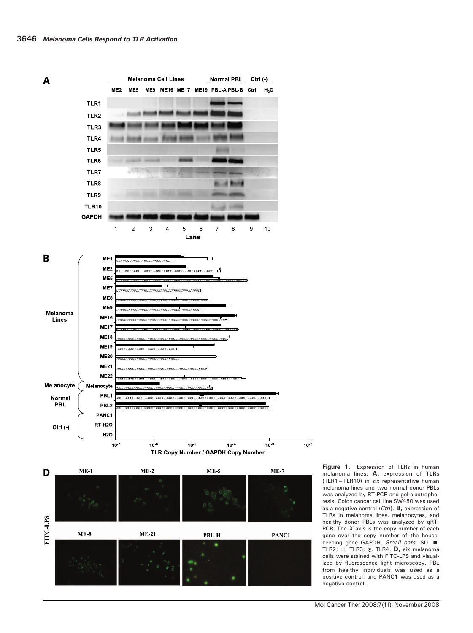

Figure 1. Expression of TLRs in human melanoma lines. A, expression of TLRs (TLR1 – TLR10) in six representative human melanoma lines and two normal donor PBLs was analyzed by RT-PCR and gel electrophoresis. Colon cancer cell line SW480 was used as a negative control (Ctrl). B, expression of TLRs in melanoma lines, melanocytes, and healthy donor PBLs was analyzed by qRT-PCR. The  $X$  axis is the copy number of each gene over the copy number of the housekeeping gene GAPDH. Small bars, SD.  $\blacksquare$ , TLR2;  $\Box$ , TLR3;  $\boxtimes$ , TLR4. **D**, six melanoma cells were stained with FITC-LPS and visualized by fluorescence light microscopy. PBL from healthy individuals was used as a positive control, and PANC1 was used as a negative control.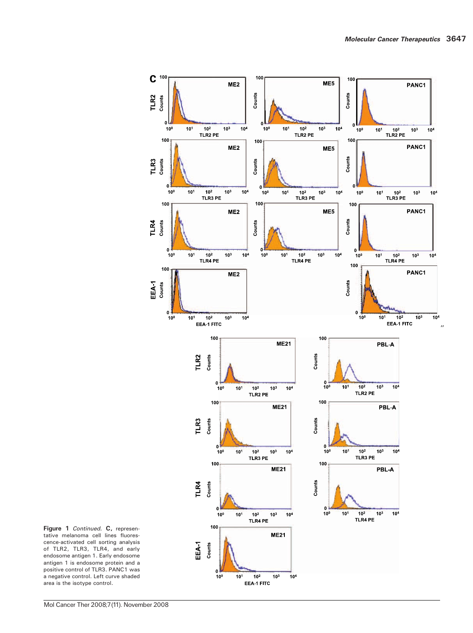

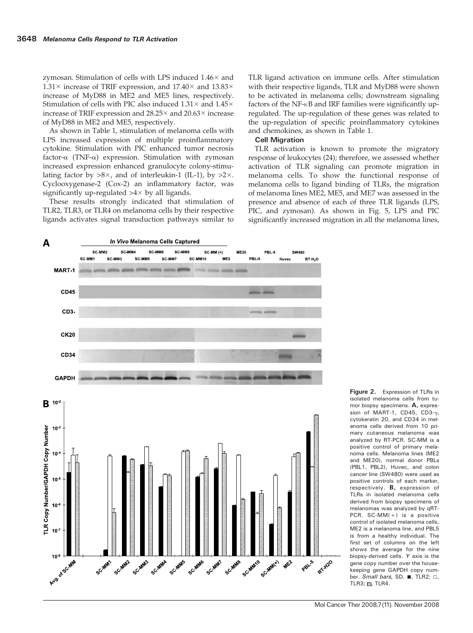zymosan. Stimulation of cells with LPS induced  $1.46\times$  and  $1.31 \times$  increase of TRIF expression, and  $17.40 \times$  and  $13.83 \times$ increase of MyD88 in ME2 and ME5 lines, respectively. Stimulation of cells with PIC also induced  $1.31\times$  and  $1.45\times$ increase of TRIF expression and  $28.25\times$  and  $20.63\times$  increase of MyD88 in ME2 and ME5, respectively.

As shown in Table 1, stimulation of melanoma cells with LPS increased expression of multiple proinflammatory cytokine. Stimulation with PIC enhanced tumor necrosis factor- $\alpha$  (TNF- $\alpha$ ) expression. Stimulation with zymosan increased expression enhanced granulocyte colony-stimulating factor by  $>8\times$ , and of interleukin-1 (IL-1), by  $>2\times$ . Cyclooxygenase-2 (Cox-2) an inflammatory factor, was significantly up-regulated  $>4\times$  by all ligands.

These results strongly indicated that stimulation of TLR2, TLR3, or TLR4 on melanoma cells by their respective ligands activates signal transduction pathways similar to TLR ligand activation on immune cells. After stimulation with their respective ligands, TLR and MyD88 were shown to be activated in melanoma cells; downstream signaling factors of the NF- $\kappa$ B and IRF families were significantly upregulated. The up-regulation of these genes was related to the up-regulation of specific proinflammatory cytokines and chemokines, as shown in Table 1.

### Cell Migration

TLR activation is known to promote the migratory response of leukocytes (24); therefore, we assessed whether activation of TLR signaling can promote migration in melanoma cells. To show the functional response of melanoma cells to ligand binding of TLRs, the migration of melanoma lines ME2, ME5, and ME7 was assessed in the presence and absence of each of three TLR ligands (LPS, PIC, and zymosan). As shown in Fig. 5, LPS and PIC significantly increased migration in all the melanoma lines,



Figure 2. Expression of TLRs in isolated melanoma cells from tumor biopsy specimens. A, expression of MART-1, CD45, CD3-γ, cytokeratin 20, and CD34 in melanoma cells derived from 10 primary cutaneous melanoma was analyzed by RT-PCR. SC-MM is a positive control of primary melanoma cells. Melanoma lines (ME2 and ME20), normal donor PBLs (PBL1, PBL2), Huvec, and colon cancer line (SW480) were used as positive controls of each marker, respectively. B, expression of TLRs in isolated melanoma cells derived from biopsy specimens of melanomas was analyzed by qRT-PCR.  $SC-MM(+)$  is a positive control of isolated melanoma cells, ME2 is a melanoma line, and PBL5 is from a healthy individual. The first set of columns on the left shows the average for the nine biopsy-derived cells. Y axis is the gene copy number over the housekeeping gene GAPDH copy number. Small bars, SD.  $\blacksquare$ , TLR2;  $\Box$ , TLR3;  $\mathbb{S}$ , TLR4.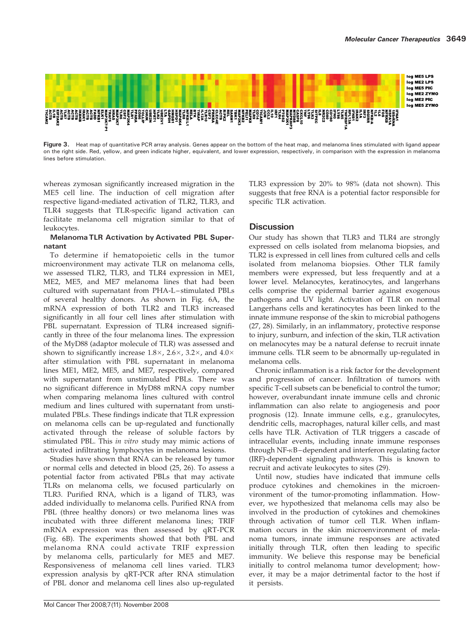

Figure 3. Heat map of quantitative PCR array analysis. Genes appear on the bottom of the heat map, and melanoma lines stimulated with ligand appear on the right side. Red, yellow, and green indicate higher, equivalent, and lower expression, respectively, in comparison with the expression in melanoma lines before stimulation.

whereas zymosan significantly increased migration in the ME5 cell line. The induction of cell migration after respective ligand-mediated activation of TLR2, TLR3, and TLR4 suggests that TLR-specific ligand activation can facilitate melanoma cell migration similar to that of leukocytes.

### Melanoma TLR Activation by Activated PBL Supernatant

To determine if hematopoietic cells in the tumor microenvironment may activate TLR on melanoma cells, we assessed TLR2, TLR3, and TLR4 expression in ME1, ME2, ME5, and ME7 melanoma lines that had been cultured with supernatant from PHA-L – stimulated PBLs of several healthy donors. As shown in Fig. 6A, the mRNA expression of both TLR2 and TLR3 increased significantly in all four cell lines after stimulation with PBL supernatant. Expression of TLR4 increased significantly in three of the four melanoma lines. The expression of the MyD88 (adaptor molecule of TLR) was assessed and shown to significantly increase  $1.8\times$ ,  $2.6\times$ ,  $3.2\times$ , and  $4.0\times$ after stimulation with PBL supernatant in melanoma lines ME1, ME2, ME5, and ME7, respectively, compared with supernatant from unstimulated PBLs. There was no significant difference in MyD88 mRNA copy number when comparing melanoma lines cultured with control medium and lines cultured with supernatant from unstimulated PBLs. These findings indicate that TLR expression on melanoma cells can be up-regulated and functionally activated through the release of soluble factors by stimulated PBL. This in vitro study may mimic actions of activated infiltrating lymphocytes in melanoma lesions.

Studies have shown that RNA can be released by tumor or normal cells and detected in blood (25, 26). To assess a potential factor from activated PBLs that may activate TLRs on melanoma cells, we focused particularly on TLR3. Purified RNA, which is a ligand of TLR3, was added individually to melanoma cells. Purified RNA from PBL (three healthy donors) or two melanoma lines was incubated with three different melanoma lines; TRIF mRNA expression was then assessed by qRT-PCR (Fig. 6B). The experiments showed that both PBL and melanoma RNA could activate TRIF expression by melanoma cells, particularly for ME5 and ME7. Responsiveness of melanoma cell lines varied. TLR3 expression analysis by qRT-PCR after RNA stimulation of PBL donor and melanoma cell lines also up-regulated TLR3 expression by 20% to 98% (data not shown). This suggests that free RNA is a potential factor responsible for specific TLR activation.

# **Discussion**

Our study has shown that TLR3 and TLR4 are strongly expressed on cells isolated from melanoma biopsies, and TLR2 is expressed in cell lines from cultured cells and cells isolated from melanoma biopsies. Other TLR family members were expressed, but less frequently and at a lower level. Melanocytes, keratinocytes, and langerhans cells comprise the epidermal barrier against exogenous pathogens and UV light. Activation of TLR on normal Langerhans cells and keratinocytes has been linked to the innate immune response of the skin to microbial pathogens (27, 28). Similarly, in an inflammatory, protective response to injury, sunburn, and infection of the skin, TLR activation on melanocytes may be a natural defense to recruit innate immune cells. TLR seem to be abnormally up-regulated in melanoma cells.

Chronic inflammation is a risk factor for the development and progression of cancer. Infiltration of tumors with specific T-cell subsets can be beneficial to control the tumor; however, overabundant innate immune cells and chronic inflammation can also relate to angiogenesis and poor prognosis (12). Innate immune cells, e.g., granulocytes, dendritic cells, macrophages, natural killer cells, and mast cells have TLR. Activation of TLR triggers a cascade of intracellular events, including innate immune responses through NF-KB-dependent and interferon regulating factor (IRF)-dependent signaling pathways. This is known to recruit and activate leukocytes to sites (29).

Until now, studies have indicated that immune cells produce cytokines and chemokines in the microenvironment of the tumor-promoting inflammation. However, we hypothesized that melanoma cells may also be involved in the production of cytokines and chemokines through activation of tumor cell TLR. When inflammation occurs in the skin microenvironment of melanoma tumors, innate immune responses are activated initially through TLR, often then leading to specific immunity. We believe this response may be beneficial initially to control melanoma tumor development; however, it may be a major detrimental factor to the host if it persists.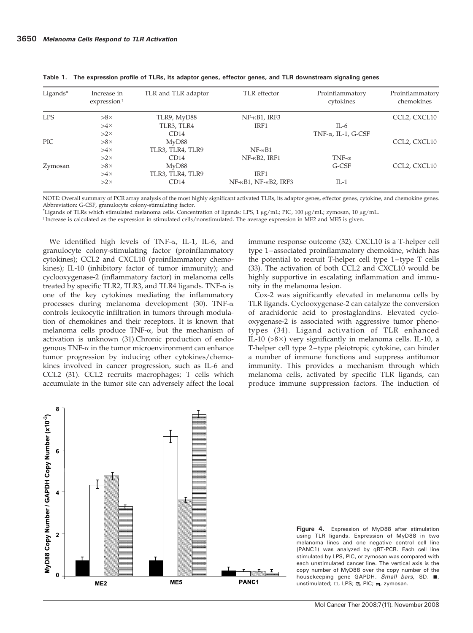| Ligands*   | Increase in<br>expression <sup>†</sup> | TLR and TLR adaptor | TLR effector                           | Proinflammatory<br>cytokines | Proinflammatory<br>chemokines |
|------------|----------------------------------------|---------------------|----------------------------------------|------------------------------|-------------------------------|
| <b>LPS</b> | $>8\times$                             | TLR9, MyD88         | $NF - \kappa B1$ , IRF3                |                              | CCL2, CXCL10                  |
|            | $>4\times$                             | TLR3, TLR4          | IRF1                                   | IL-6                         |                               |
|            | $>2\times$                             | CD14                |                                        | TNF- $\alpha$ , IL-1, G-CSF  |                               |
| <b>PIC</b> | $>8\times$                             | MyD88               |                                        |                              | CCL2, CXCL10                  |
|            | $>4\times$                             | TLR3, TLR4, TLR9    | $NF - \kappa B1$                       |                              |                               |
|            | $>2\times$                             | CD14                | $NF-KB2$ , IRF1                        | TNF- $\alpha$                |                               |
| Zymosan    | $>8\times$                             | MyD88               |                                        | G-CSF                        | CCL2, CXCL10                  |
|            | $>4\times$                             | TLR3, TLR4, TLR9    | IRF1                                   |                              |                               |
|            | $>2\times$                             | CD14                | $NF-\kappa B1$ , $NF-\kappa B2$ , IRF3 | $IL-1$                       |                               |

Table 1. The expression profile of TLRs, its adaptor genes, effector genes, and TLR downstream signaling genes

NOTE: Overall summary of PCR array analysis of the most highly significant activated TLRs, its adaptor genes, effector genes, cytokine, and chemokine genes. Abbreviation: G-CSF, granulocyte colony-stimulating factor.

 $*$ Ligands of TLRs which stimulated melanoma cells. Concentration of ligands: LPS, 1  $\mu$ g/mL; PIC, 100  $\mu$ g/mL; zymosan, 10  $\mu$ g/mL.

<sup>†</sup> Increase is calculated as the expression in stimulated cells/nonstimulated. The average expression in ME2 and ME5 is given.

We identified high levels of TNF-a, IL-1, IL-6, and granulocyte colony-stimulating factor (proinflammatory cytokines); CCL2 and CXCL10 (proinflammatory chemokines); IL-10 (inhibitory factor of tumor immunity); and cyclooxygenase-2 (inflammatory factor) in melanoma cells treated by specific TLR2, TLR3, and TLR4 ligands. TNF- $\alpha$  is one of the key cytokines mediating the inflammatory processes during melanoma development (30). TNF- $\alpha$ controls leukocytic infiltration in tumors through modulation of chemokines and their receptors. It is known that melanoma cells produce  $TNF-\alpha$ , but the mechanism of activation is unknown (31).Chronic production of endogenous TNF- $\alpha$  in the tumor microenvironment can enhance tumor progression by inducing other cytokines/chemokines involved in cancer progression, such as IL-6 and CCL2 (31). CCL2 recruits macrophages; T cells which accumulate in the tumor site can adversely affect the local immune response outcome (32). CXCL10 is a T-helper cell type 1-associated proinflammatory chemokine, which has the potential to recruit T-helper cell type 1 – type T cells (33). The activation of both CCL2 and CXCL10 would be highly supportive in escalating inflammation and immunity in the melanoma lesion.

Cox-2 was significantly elevated in melanoma cells by TLR ligands. Cyclooxygenase-2 can catalyze the conversion of arachidonic acid to prostaglandins. Elevated cyclooxygenase-2 is associated with aggressive tumor phenotypes (34). Ligand activation of TLR enhanced IL-10 ( $>8\times$ ) very significantly in melanoma cells. IL-10, a T-helper cell type 2-type pleiotropic cytokine, can hinder a number of immune functions and suppress antitumor immunity. This provides a mechanism through which melanoma cells, activated by specific TLR ligands, can produce immune suppression factors. The induction of



Figure 4. Expression of MyD88 after stimulation using TLR ligands. Expression of MyD88 in two melanoma lines and one negative control cell line (PANC1) was analyzed by qRT-PCR. Each cell line stimulated by LPS, PIC, or zymosan was compared with each unstimulated cancer line. The vertical axis is the copy number of MyD88 over the copy number of the housekeeping gene GAPDH. Small bars, SD. ■, unstimulated;  $\square$ , LPS; , PIC; 目, zymosan.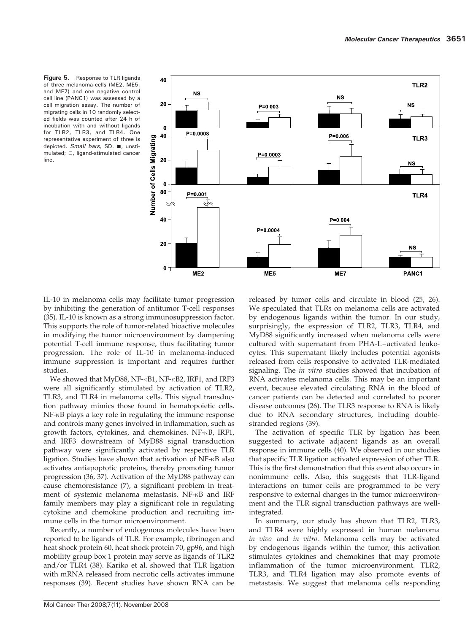Figure 5. Response to TLR ligands of three melanoma cells (ME2, ME5, and ME7) and one negative control cell line (PANC1) was assessed by a cell migration assay. The number of migrating cells in 10 randomly selected fields was counted after 24 h of incubation with and without ligands for TLR2, TLR3, and TLR4. One representative experiment of three is depicted. Small bars, SD. ■, unstimulated;  $\Box$ , ligand-stimulated cancer line.



IL-10 in melanoma cells may facilitate tumor progression by inhibiting the generation of antitumor T-cell responses (35). IL-10 is known as a strong immunosuppression factor. This supports the role of tumor-related bioactive molecules in modifying the tumor microenvironment by dampening potential T-cell immune response, thus facilitating tumor progression. The role of IL-10 in melanoma-induced immune suppression is important and requires further studies.

We showed that MyD88, NF-KB1, NF-KB2, IRF1, and IRF3 were all significantly stimulated by activation of TLR2, TLR3, and TLR4 in melanoma cells. This signal transduction pathway mimics those found in hematopoietic cells.  $NF$ - $KB$  plays a key role in regulating the immune response and controls many genes involved in inflammation, such as growth factors, cytokines, and chemokines.  $NF-kB$ , IRF1, and IRF3 downstream of MyD88 signal transduction pathway were significantly activated by respective TLR ligation. Studies have shown that activation of  $NF-<sub>K</sub>B$  also activates antiapoptotic proteins, thereby promoting tumor progression (36, 37). Activation of the MyD88 pathway can cause chemoresistance (7), a significant problem in treatment of systemic melanoma metastasis. NF-KB and IRF family members may play a significant role in regulating cytokine and chemokine production and recruiting immune cells in the tumor microenvironment.

Recently, a number of endogenous molecules have been reported to be ligands of TLR. For example, fibrinogen and heat shock protein 60, heat shock protein 70, gp96, and high mobility group box 1 protein may serve as ligands of TLR2 and/or TLR4 (38). Kariko et al. showed that TLR ligation with mRNA released from necrotic cells activates immune responses (39). Recent studies have shown RNA can be released by tumor cells and circulate in blood (25, 26). We speculated that TLRs on melanoma cells are activated by endogenous ligands within the tumor. In our study, surprisingly, the expression of TLR2, TLR3, TLR4, and MyD88 significantly increased when melanoma cells were cultured with supernatant from PHA-L-activated leukocytes. This supernatant likely includes potential agonists released from cells responsive to activated TLR-mediated signaling. The *in vitro* studies showed that incubation of RNA activates melanoma cells. This may be an important event, because elevated circulating RNA in the blood of cancer patients can be detected and correlated to poorer disease outcomes (26). The TLR3 response to RNA is likely due to RNA secondary structures, including doublestranded regions (39).

The activation of specific TLR by ligation has been suggested to activate adjacent ligands as an overall response in immune cells (40). We observed in our studies that specific TLR ligation activated expression of other TLR. This is the first demonstration that this event also occurs in nonimmune cells. Also, this suggests that TLR-ligand interactions on tumor cells are programmed to be very responsive to external changes in the tumor microenvironment and the TLR signal transduction pathways are wellintegrated.

In summary, our study has shown that TLR2, TLR3, and TLR4 were highly expressed in human melanoma in vivo and in vitro. Melanoma cells may be activated by endogenous ligands within the tumor; this activation stimulates cytokines and chemokines that may promote inflammation of the tumor microenvironment. TLR2, TLR3, and TLR4 ligation may also promote events of metastasis. We suggest that melanoma cells responding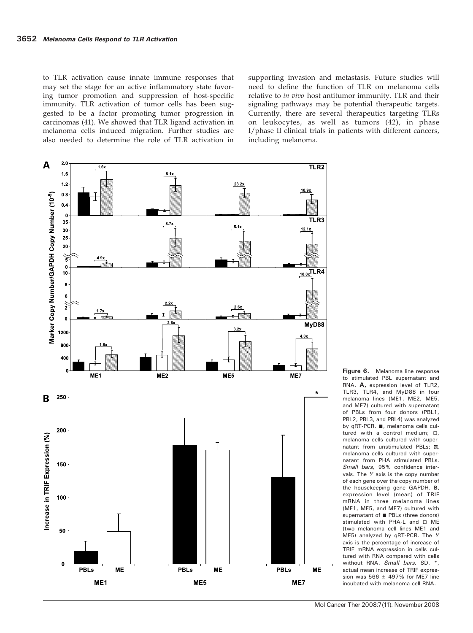to TLR activation cause innate immune responses that may set the stage for an active inflammatory state favoring tumor promotion and suppression of host-specific immunity. TLR activation of tumor cells has been suggested to be a factor promoting tumor progression in carcinomas (41). We showed that TLR ligand activation in melanoma cells induced migration. Further studies are also needed to determine the role of TLR activation in supporting invasion and metastasis. Future studies will need to define the function of TLR on melanoma cells relative to in vivo host antitumor immunity. TLR and their signaling pathways may be potential therapeutic targets. Currently, there are several therapeutics targeting TLRs on leukocytes, as well as tumors (42), in phase I/phase II clinical trials in patients with different cancers, including melanoma.



Figure 6. Melanoma line response to stimulated PBL supernatant and RNA. A, expression level of TLR2, TLR3, TLR4, and MyD88 in four melanoma lines (ME1, ME2, ME5, and ME7) cultured with supernatant of PBLs from four donors (PBL1, PBL2, PBL3, and PBL4) was analyzed by qRT-PCR.  $\blacksquare$ , melanoma cells cultured with a control medium:  $\Box$ . melanoma cells cultured with supernatant from unstimulated PBLs;  $\mathbb{S}$ , melanoma cells cultured with supernatant from PHA stimulated PBLs. Small bars, 95% confidence intervals. The Y axis is the copy number of each gene over the copy number of the housekeeping gene GAPDH. B, expression level (mean) of TRIF mRNA in three melanoma lines (ME1, ME5, and ME7) cultured with supernatant of **n** PBLs (three donors) stimulated with PHA-L and  $\Box$  MF (two melanoma cell lines ME1 and ME5) analyzed by qRT-PCR. The Y axis is the percentage of increase of TRIF mRNA expression in cells cultured with RNA compared with cells without RNA. Small bars, SD. \*, actual mean increase of TRIF expression was  $566 \pm 497\%$  for ME7 line incubated with melanoma cell RNA.